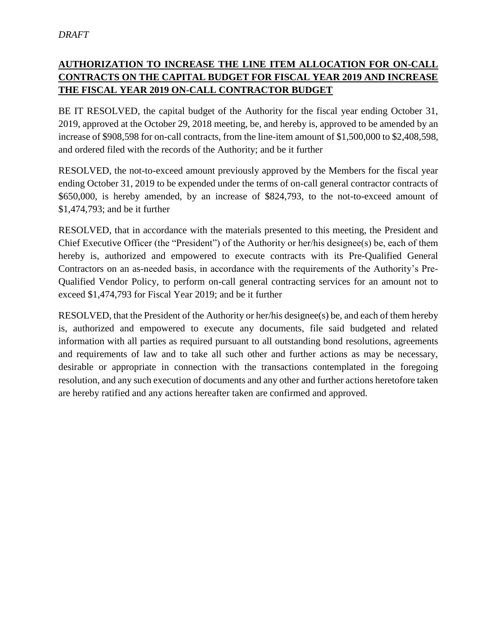## **AUTHORIZATION TO INCREASE THE LINE ITEM ALLOCATION FOR ON-CALL CONTRACTS ON THE CAPITAL BUDGET FOR FISCAL YEAR 2019 AND INCREASE THE FISCAL YEAR 2019 ON-CALL CONTRACTOR BUDGET**

BE IT RESOLVED, the capital budget of the Authority for the fiscal year ending October 31, 2019, approved at the October 29, 2018 meeting, be, and hereby is, approved to be amended by an increase of \$908,598 for on-call contracts, from the line-item amount of \$1,500,000 to \$2,408,598, and ordered filed with the records of the Authority; and be it further

RESOLVED, the not-to-exceed amount previously approved by the Members for the fiscal year ending October 31, 2019 to be expended under the terms of on-call general contractor contracts of \$650,000, is hereby amended, by an increase of \$824,793, to the not-to-exceed amount of \$1,474,793; and be it further

RESOLVED, that in accordance with the materials presented to this meeting, the President and Chief Executive Officer (the "President") of the Authority or her/his designee(s) be, each of them hereby is, authorized and empowered to execute contracts with its Pre-Qualified General Contractors on an as-needed basis, in accordance with the requirements of the Authority's Pre-Qualified Vendor Policy, to perform on-call general contracting services for an amount not to exceed \$1,474,793 for Fiscal Year 2019; and be it further

RESOLVED, that the President of the Authority or her/his designee(s) be, and each of them hereby is, authorized and empowered to execute any documents, file said budgeted and related information with all parties as required pursuant to all outstanding bond resolutions, agreements and requirements of law and to take all such other and further actions as may be necessary, desirable or appropriate in connection with the transactions contemplated in the foregoing resolution, and any such execution of documents and any other and further actions heretofore taken are hereby ratified and any actions hereafter taken are confirmed and approved.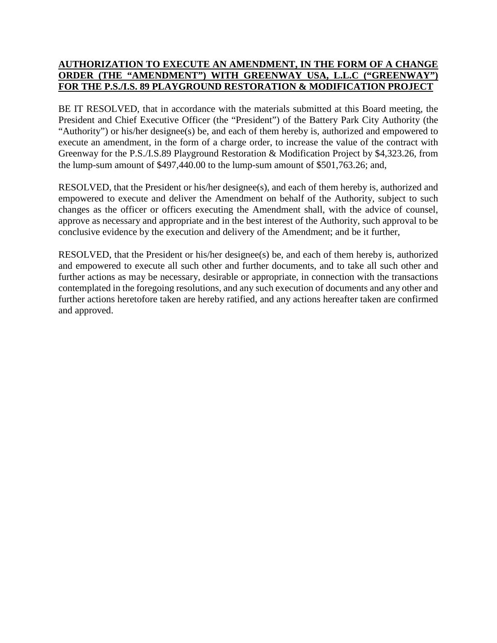## **AUTHORIZATION TO EXECUTE AN AMENDMENT, IN THE FORM OF A CHANGE ORDER (THE "AMENDMENT") WITH GREENWAY USA, L.L.C ("GREENWAY") FOR THE P.S./I.S. 89 PLAYGROUND RESTORATION & MODIFICATION PROJECT**

BE IT RESOLVED, that in accordance with the materials submitted at this Board meeting, the President and Chief Executive Officer (the "President") of the Battery Park City Authority (the "Authority") or his/her designee(s) be, and each of them hereby is, authorized and empowered to execute an amendment, in the form of a charge order, to increase the value of the contract with Greenway for the P.S./I.S.89 Playground Restoration & Modification Project by \$4,323.26, from the lump-sum amount of \$497,440.00 to the lump-sum amount of \$501,763.26; and,

RESOLVED, that the President or his/her designee(s), and each of them hereby is, authorized and empowered to execute and deliver the Amendment on behalf of the Authority, subject to such changes as the officer or officers executing the Amendment shall, with the advice of counsel, approve as necessary and appropriate and in the best interest of the Authority, such approval to be conclusive evidence by the execution and delivery of the Amendment; and be it further,

RESOLVED, that the President or his/her designee(s) be, and each of them hereby is, authorized and empowered to execute all such other and further documents, and to take all such other and further actions as may be necessary, desirable or appropriate, in connection with the transactions contemplated in the foregoing resolutions, and any such execution of documents and any other and further actions heretofore taken are hereby ratified, and any actions hereafter taken are confirmed and approved.